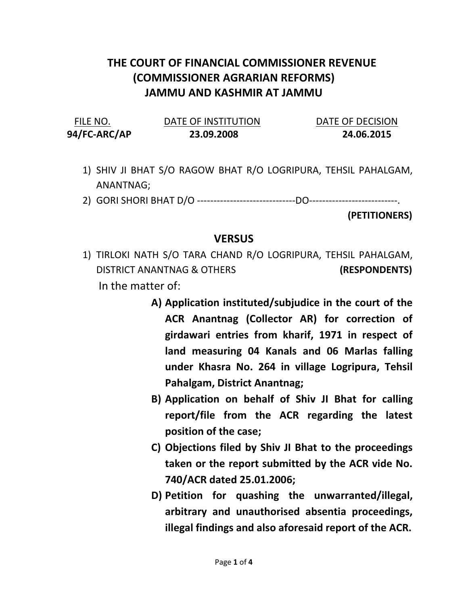## THE COURT OF FINANCIAL COMMISSIONER REVENUE (COMMISSIONER AGRARIAN REFORMS) JAMMU AND KASHMIR AT JAMMU

FILE NO. DATE OF INSTITUTION DATE OF DECISION 94/FC-ARC/AP 23.09.2008 24.06.2015

- 1) SHIV JI BHAT S/O RAGOW BHAT R/O LOGRIPURA, TEHSIL PAHALGAM, ANANTNAG;
- 2) GORI SHORI BHAT D/O ------------------------------DO---------------------------.

(PETITIONERS)

## VERSUS

- 1) TIRLOKI NATH S/O TARA CHAND R/O LOGRIPURA, TEHSIL PAHALGAM, DISTRICT ANANTNAG & OTHERS (RESPONDENTS) In the matter of:
	- A) Application instituted/subjudice in the court of the ACR Anantnag (Collector AR) for correction of girdawari entries from kharif, 1971 in respect of land measuring 04 Kanals and 06 Marlas falling under Khasra No. 264 in village Logripura, Tehsil Pahalgam, District Anantnag;
	- B) Application on behalf of Shiv JI Bhat for calling report/file from the ACR regarding the latest position of the case;
	- C) Objections filed by Shiv JI Bhat to the proceedings taken or the report submitted by the ACR vide No. 740/ACR dated 25.01.2006;
	- D) Petition for quashing the unwarranted/illegal, arbitrary and unauthorised absentia proceedings, illegal findings and also aforesaid report of the ACR.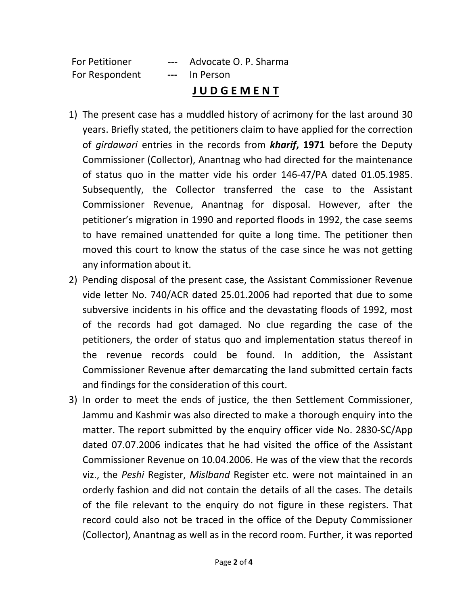| <b>For Petitioner</b> | $\qquad \qquad -\qquad -$ | Advocate O. P. Sharma |
|-----------------------|---------------------------|-----------------------|
| For Respondent        |                           | --- In Person         |

## J U D G E M E N T

- 1) The present case has a muddled history of acrimony for the last around 30 years. Briefly stated, the petitioners claim to have applied for the correction of girdawari entries in the records from **kharif, 1971** before the Deputy Commissioner (Collector), Anantnag who had directed for the maintenance of status quo in the matter vide his order 146-47/PA dated 01.05.1985. Subsequently, the Collector transferred the case to the Assistant Commissioner Revenue, Anantnag for disposal. However, after the petitioner's migration in 1990 and reported floods in 1992, the case seems to have remained unattended for quite a long time. The petitioner then moved this court to know the status of the case since he was not getting any information about it.
- 2) Pending disposal of the present case, the Assistant Commissioner Revenue vide letter No. 740/ACR dated 25.01.2006 had reported that due to some subversive incidents in his office and the devastating floods of 1992, most of the records had got damaged. No clue regarding the case of the petitioners, the order of status quo and implementation status thereof in the revenue records could be found. In addition, the Assistant Commissioner Revenue after demarcating the land submitted certain facts and findings for the consideration of this court.
- 3) In order to meet the ends of justice, the then Settlement Commissioner, Jammu and Kashmir was also directed to make a thorough enquiry into the matter. The report submitted by the enquiry officer vide No. 2830-SC/App dated 07.07.2006 indicates that he had visited the office of the Assistant Commissioner Revenue on 10.04.2006. He was of the view that the records viz., the Peshi Register, Mislband Register etc. were not maintained in an orderly fashion and did not contain the details of all the cases. The details of the file relevant to the enquiry do not figure in these registers. That record could also not be traced in the office of the Deputy Commissioner (Collector), Anantnag as well as in the record room. Further, it was reported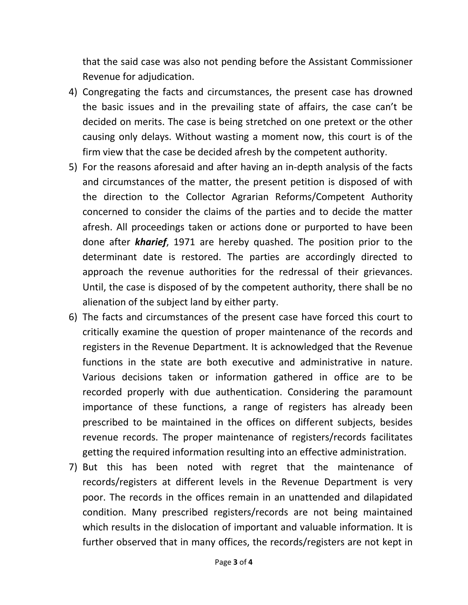that the said case was also not pending before the Assistant Commissioner Revenue for adjudication.

- 4) Congregating the facts and circumstances, the present case has drowned the basic issues and in the prevailing state of affairs, the case can't be decided on merits. The case is being stretched on one pretext or the other causing only delays. Without wasting a moment now, this court is of the firm view that the case be decided afresh by the competent authority.
- 5) For the reasons aforesaid and after having an in-depth analysis of the facts and circumstances of the matter, the present petition is disposed of with the direction to the Collector Agrarian Reforms/Competent Authority concerned to consider the claims of the parties and to decide the matter afresh. All proceedings taken or actions done or purported to have been done after **kharief**, 1971 are hereby quashed. The position prior to the determinant date is restored. The parties are accordingly directed to approach the revenue authorities for the redressal of their grievances. Until, the case is disposed of by the competent authority, there shall be no alienation of the subject land by either party.
- 6) The facts and circumstances of the present case have forced this court to critically examine the question of proper maintenance of the records and registers in the Revenue Department. It is acknowledged that the Revenue functions in the state are both executive and administrative in nature. Various decisions taken or information gathered in office are to be recorded properly with due authentication. Considering the paramount importance of these functions, a range of registers has already been prescribed to be maintained in the offices on different subjects, besides revenue records. The proper maintenance of registers/records facilitates getting the required information resulting into an effective administration.
- 7) But this has been noted with regret that the maintenance of records/registers at different levels in the Revenue Department is very poor. The records in the offices remain in an unattended and dilapidated condition. Many prescribed registers/records are not being maintained which results in the dislocation of important and valuable information. It is further observed that in many offices, the records/registers are not kept in